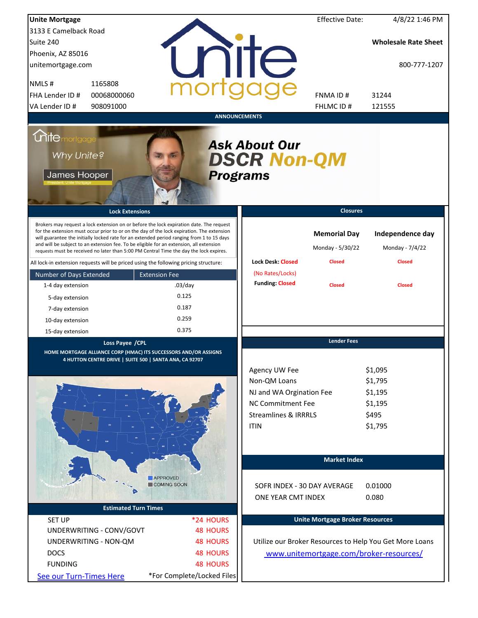| <b>Unite Mortgage</b>                                                                                               |                                                                             |                                                                                                                                                                                                                                                                                                                                                                                                                                                                        |                                                                                                                                         | <b>Effective Date:</b>                                   | 4/8/22 1:46 PM                                               |  |  |
|---------------------------------------------------------------------------------------------------------------------|-----------------------------------------------------------------------------|------------------------------------------------------------------------------------------------------------------------------------------------------------------------------------------------------------------------------------------------------------------------------------------------------------------------------------------------------------------------------------------------------------------------------------------------------------------------|-----------------------------------------------------------------------------------------------------------------------------------------|----------------------------------------------------------|--------------------------------------------------------------|--|--|
| 3133 E Camelback Road                                                                                               |                                                                             |                                                                                                                                                                                                                                                                                                                                                                                                                                                                        |                                                                                                                                         |                                                          |                                                              |  |  |
| Suite 240                                                                                                           |                                                                             |                                                                                                                                                                                                                                                                                                                                                                                                                                                                        |                                                                                                                                         |                                                          | <b>Wholesale Rate Sheet</b>                                  |  |  |
| Phoenix, AZ 85016                                                                                                   |                                                                             |                                                                                                                                                                                                                                                                                                                                                                                                                                                                        |                                                                                                                                         |                                                          |                                                              |  |  |
| unitemortgage.com                                                                                                   |                                                                             |                                                                                                                                                                                                                                                                                                                                                                                                                                                                        | <b>ilte</b>                                                                                                                             |                                                          | 800-777-1207                                                 |  |  |
| NMLS#                                                                                                               | 1165808                                                                     |                                                                                                                                                                                                                                                                                                                                                                                                                                                                        |                                                                                                                                         |                                                          |                                                              |  |  |
| FHA Lender ID #                                                                                                     | 00068000060                                                                 |                                                                                                                                                                                                                                                                                                                                                                                                                                                                        |                                                                                                                                         | <b>FNMAID#</b>                                           | 31244                                                        |  |  |
| VA Lender ID #                                                                                                      | 908091000                                                                   |                                                                                                                                                                                                                                                                                                                                                                                                                                                                        |                                                                                                                                         | FHLMC ID#                                                | 121555                                                       |  |  |
|                                                                                                                     |                                                                             |                                                                                                                                                                                                                                                                                                                                                                                                                                                                        | <b>ANNOUNCEMENTS</b>                                                                                                                    |                                                          |                                                              |  |  |
| <b>Chitemortgage</b><br><b>Ask About Our</b><br>Why Unite?<br><b>DSCR Non-QM</b><br>James Hooper<br><b>Programs</b> |                                                                             |                                                                                                                                                                                                                                                                                                                                                                                                                                                                        |                                                                                                                                         |                                                          |                                                              |  |  |
|                                                                                                                     | <b>Lock Extensions</b>                                                      |                                                                                                                                                                                                                                                                                                                                                                                                                                                                        |                                                                                                                                         | <b>Closures</b>                                          |                                                              |  |  |
|                                                                                                                     |                                                                             | Brokers may request a lock extension on or before the lock expiration date. The request<br>for the extension must occur prior to or on the day of the lock expiration. The extension<br>will guarantee the initially locked rate for an extended period ranging from 1 to 15 days<br>and will be subject to an extension fee. To be eligible for an extension, all extension<br>requests must be received no later than 5:00 PM Central Time the day the lock expires. | <b>Lock Desk: Closed</b>                                                                                                                | <b>Memorial Day</b><br>Monday - 5/30/22<br><b>Closed</b> | Independence day<br>Monday - 7/4/22<br><b>Closed</b>         |  |  |
|                                                                                                                     |                                                                             | All lock-in extension requests will be priced using the following pricing structure:                                                                                                                                                                                                                                                                                                                                                                                   |                                                                                                                                         |                                                          |                                                              |  |  |
| Number of Days Extended                                                                                             |                                                                             | <b>Extension Fee</b>                                                                                                                                                                                                                                                                                                                                                                                                                                                   | (No Rates/Locks)<br><b>Funding: Closed</b>                                                                                              |                                                          |                                                              |  |  |
| 1-4 day extension                                                                                                   |                                                                             | $.03$ /day                                                                                                                                                                                                                                                                                                                                                                                                                                                             |                                                                                                                                         | <b>Closed</b>                                            | <b>Closed</b>                                                |  |  |
| 5-day extension                                                                                                     |                                                                             | 0.125                                                                                                                                                                                                                                                                                                                                                                                                                                                                  |                                                                                                                                         |                                                          |                                                              |  |  |
| 7-day extension                                                                                                     |                                                                             | 0.187                                                                                                                                                                                                                                                                                                                                                                                                                                                                  |                                                                                                                                         |                                                          |                                                              |  |  |
| 10-day extension                                                                                                    |                                                                             | 0.259                                                                                                                                                                                                                                                                                                                                                                                                                                                                  |                                                                                                                                         |                                                          |                                                              |  |  |
| 15-day extension                                                                                                    |                                                                             | 0.375                                                                                                                                                                                                                                                                                                                                                                                                                                                                  |                                                                                                                                         |                                                          |                                                              |  |  |
|                                                                                                                     | Loss Payee / CPL<br>4 HUTTON CENTRE DRIVE   SUITE 500   SANTA ANA, CA 92707 | HOME MORTGAGE ALLIANCE CORP (HMAC) ITS SUCCESSORS AND/OR ASSIGNS                                                                                                                                                                                                                                                                                                                                                                                                       | Agency UW Fee<br>Non-QM Loans<br>NJ and WA Orgination Fee<br><b>NC Commitment Fee</b><br><b>Streamlines &amp; IRRRLS</b><br><b>ITIN</b> | <b>Lender Fees</b>                                       | \$1,095<br>\$1,795<br>\$1,195<br>\$1,195<br>\$495<br>\$1,795 |  |  |
|                                                                                                                     |                                                                             |                                                                                                                                                                                                                                                                                                                                                                                                                                                                        |                                                                                                                                         | <b>Market Index</b>                                      |                                                              |  |  |
|                                                                                                                     |                                                                             | APPROVED                                                                                                                                                                                                                                                                                                                                                                                                                                                               |                                                                                                                                         |                                                          |                                                              |  |  |
|                                                                                                                     |                                                                             | COMING SOON                                                                                                                                                                                                                                                                                                                                                                                                                                                            | SOFR INDEX - 30 DAY AVERAGE                                                                                                             |                                                          | 0.01000                                                      |  |  |
|                                                                                                                     |                                                                             |                                                                                                                                                                                                                                                                                                                                                                                                                                                                        | ONE YEAR CMT INDEX                                                                                                                      |                                                          | 0.080                                                        |  |  |
|                                                                                                                     | <b>Estimated Turn Times</b>                                                 |                                                                                                                                                                                                                                                                                                                                                                                                                                                                        |                                                                                                                                         |                                                          |                                                              |  |  |
| <b>SET UP</b>                                                                                                       |                                                                             | *24 HOURS                                                                                                                                                                                                                                                                                                                                                                                                                                                              |                                                                                                                                         | <b>Unite Mortgage Broker Resources</b>                   |                                                              |  |  |
|                                                                                                                     | UNDERWRITING - CONV/GOVT                                                    | <b>48 HOURS</b>                                                                                                                                                                                                                                                                                                                                                                                                                                                        |                                                                                                                                         |                                                          |                                                              |  |  |
| UNDERWRITING - NON-QM                                                                                               |                                                                             | <b>48 HOURS</b>                                                                                                                                                                                                                                                                                                                                                                                                                                                        |                                                                                                                                         |                                                          | Utilize our Broker Resources to Help You Get More Loans      |  |  |
| <b>DOCS</b>                                                                                                         |                                                                             | <b>48 HOURS</b>                                                                                                                                                                                                                                                                                                                                                                                                                                                        |                                                                                                                                         |                                                          | www.unitemortgage.com/broker-resources/                      |  |  |
| <b>FUNDING</b>                                                                                                      |                                                                             | <b>48 HOURS</b>                                                                                                                                                                                                                                                                                                                                                                                                                                                        |                                                                                                                                         |                                                          |                                                              |  |  |
| See our Turn-Times Here                                                                                             |                                                                             | *For Complete/Locked Files                                                                                                                                                                                                                                                                                                                                                                                                                                             |                                                                                                                                         |                                                          |                                                              |  |  |
|                                                                                                                     |                                                                             |                                                                                                                                                                                                                                                                                                                                                                                                                                                                        |                                                                                                                                         |                                                          |                                                              |  |  |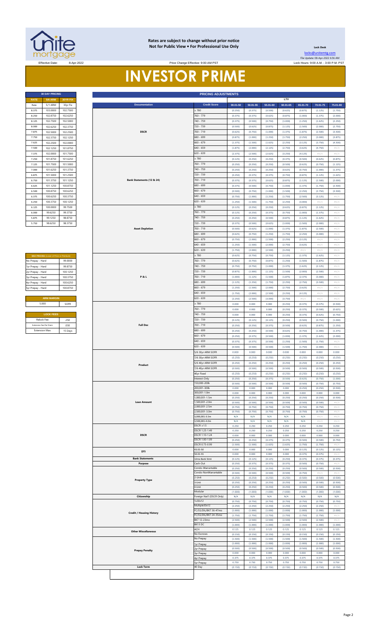

#### **Rates are subject to change without prior notice Not for Public View • For Professional Use Only**

Price Change Effective: 9:00 AM PST

**30 DAY PRICING PRICING ADJUSTMENTS**

**Lock Desk** [locks@unitemtg](mailto:locks@unitemtg.com).com File Update: 08-Apr-2022 6:56 AM

# **INVESTOR PRIME**

| <b>30 DAY PRICING</b> |                |                 |  |  |  |  |
|-----------------------|----------------|-----------------|--|--|--|--|
| <b>RATE</b>           | <b>5/6 ARM</b> | <b>30YR FIX</b> |  |  |  |  |
| Rate                  | 5/1 ARM        | 30yr Fix        |  |  |  |  |
| 8.375                 | 103.0000       | 102.7500        |  |  |  |  |
| 8.250                 | 102.8750       | 102.6250        |  |  |  |  |
| 8.125                 | 102 7500       | 102.5000        |  |  |  |  |
| 8.000                 | 102.6250       | 102.3750        |  |  |  |  |
| 7.875                 | 102.5000       | 102.2500        |  |  |  |  |
| 7.750                 | 102.3750       | 102.1250        |  |  |  |  |
| 7.625                 | 102.2500       | 102.0000        |  |  |  |  |
| 7.500                 | 102 1250       | 1018750         |  |  |  |  |
| 7.375                 | 102.0000       | 101.7500        |  |  |  |  |
| 7.250                 | 101.8750       | 101.6250        |  |  |  |  |
| 7.125                 | 101.7500       | 101.5000        |  |  |  |  |
| 7.000                 | 101.6250       | 101.3750        |  |  |  |  |
| 6.875                 | 101.5000       | 101.2500        |  |  |  |  |
| 6.750                 | 101.3750       | 101.1250        |  |  |  |  |
| 6.625                 | 101.1250       | 100.8750        |  |  |  |  |
| 6.500                 | 100 8750       | 100 6250        |  |  |  |  |
| 6.375                 | 100.6250       | 100.3750        |  |  |  |  |
| 6.250                 | 100.3750       | 100.1250        |  |  |  |  |
| 6.125                 | 100,0000       | 99.7500         |  |  |  |  |
| 6.000                 | 996250         | 99.3750         |  |  |  |  |
| 5.875                 | 99.1250        | 98 8750         |  |  |  |  |
| 5.750                 | 986250         | 98.3750         |  |  |  |  |

| <b>MAX PRICING (Lower of Price or Premium)</b> |          |
|------------------------------------------------|----------|
| No Prepay - Hard                               | 99.0000  |
| 1yr Prepay - Hard                              | 99 8750  |
| 2yr Prepay - Hard                              | 100 1250 |
| 3yr Prepay - Hard                              | 100 3750 |
| 4yr Prepay - Hard                              | 100 6250 |
| 5yr Prepay - Hard                              | 100.8750 |
|                                                |          |
| <b>ARM MARGIN</b>                              |          |
| 5.000                                          | SOFR     |
|                                                |          |
| <b>LOCK FEES</b>                               |          |
| Relock Fee:                                    | 750      |

| Relock Fee:             | 250     |
|-------------------------|---------|
| Extension Fee Per Diem: | 030     |
| <b>Extension Max:</b>   | 15 Days |
|                         |         |

| <b>RATE</b>             | <b>5/6 ARM</b>                         | 30YR FIX |  |                                     |                                        |                    |                    |                    | LTV                |                    |                    |                            |
|-------------------------|----------------------------------------|----------|--|-------------------------------------|----------------------------------------|--------------------|--------------------|--------------------|--------------------|--------------------|--------------------|----------------------------|
| Rate                    | 5/1 ARM                                | 30yr Fix |  | <b>Documentation</b>                | <b>Credit Score</b>                    | 00.01-50           | 50.01-55           | 55.01-60           | 60.01-65           | 65.01-70           | 70.01-75           | 75.01-80                   |
| 8.375                   | 103.0000                               | 102.7500 |  |                                     | 2780                                   | (0.250)            | (0.375)            | (0.500)            | (0.625)            | (0.875)            | (1.125)            | (1.750)                    |
| 8.250                   | 102.8750                               | 102.6250 |  | 760 - 779<br>740 - 759<br>720 - 739 |                                        | (0.375)            | (0.375)            | (0.625)            | (0.875)            | (1.000)            | (1.375)            | (2.000)                    |
| 8.125                   | 102.7500                               | 102.5000 |  |                                     |                                        | (0.375)            | (0.500)            | (0.750)            | (1.000)            | (1.250)            | (1.625)            | (2.250)                    |
| 8.000                   | 102.6250                               | 102.3750 |  |                                     |                                        | (0.500)            | (0.625)            | (0.875)            | (1.125)            | (1.500)            | (2.000)            | (2.750)                    |
| 7.875                   | 102.5000                               | 102.2500 |  | <b>DSCR</b>                         | 700 - 719                              | (0.625)            | (0.750)            | (1.000)            | (1.375)            | (1.875)            | (2.500)            | (3.500)                    |
| 7.750                   | 102.3750                               | 102.1250 |  |                                     |                                        | (0.875)            | (1.000)            | (1.250)            | (1.750)            | (2.250)            | (3.000)            | (3.875)                    |
| 7.625                   | 102.2500                               | 102.0000 |  |                                     | $660 - 679$                            | (1.375)            | (1.500)            | (1.625)            | (2.250)            | (3.125)            | (3.750)            | (4.500)                    |
| 7.500                   | 102.1250                               | 101.8750 |  |                                     | 640 - 659                              | (1.875)            | (2.000)            | (2.125)            | (2.750)            | (3.625)            | (4.750)            | #N/A                       |
| 7.375                   | 102.0000                               | 101.7500 |  |                                     | $620 - 639$                            | (2.375)            | (2.500)            | (2.625)            | (3.250)            | (4.125)            | $\#N/A$            | $\#N/A$                    |
| 7.250                   | 101.8750                               | 101.6250 |  |                                     | $\geq 780$                             | (0.125)            | (0.250)            | (0.250)            | (0.375)            | (0.500)            | (0.625)            | (0.875)                    |
| 7.125                   | 101.7500                               | 101.5000 |  |                                     | 760 - 779                              | (0.250)            | (0.250)            | (0.250)            | (0.500)            | (0.625)            | (0.750)            | (1.125)                    |
| 7.000                   | 101.6250                               | 101.3750 |  |                                     | 740 - 759                              | (0.250)            | (0.250)            | (0.250)            | (0.625)            | (0.750)            | (1.000)            | (1.375)                    |
| 6.875                   | 101.5000                               | 101.2500 |  |                                     | 720 - 739                              | (0.250)            | (0.375)            | (0.375)            | (0.750)            | (0.875)            | (1.125)            | (1.625)                    |
| 6.750                   | 101.3750                               | 101.1250 |  | Bank Statements (12 & 24)           | 700 - 719                              | (0.375)            | (0.375)            | (0.625)            | (0.875)            | (1.125)            | (1.500)            | (2.000)                    |
| 6.625                   | 101.1250                               | 100.8750 |  |                                     | 680 - 699                              | (0.375)            | (0.500)            | (0.750)            | (1.000)            | (1.375)            | (1.750)            | (2.500)                    |
| 6.500                   | 100.8750                               | 100.6250 |  |                                     | $660 - 679$                            | (0.500)            | (0.750)            | (1.000)            | (1.500)            | (2.250)            | (2.750)            | (3.500)                    |
| 6.375                   | 100.6250                               | 100.3750 |  |                                     | 640 - 659                              | (0.750)            | (1.000)            | (1.250)            | (1.750)            | (2.500)            | (3.125)            | #N/A                       |
|                         |                                        |          |  |                                     | $620 - 639$                            |                    |                    |                    |                    |                    |                    |                            |
| 6.250                   | 100.3750                               | 100.1250 |  |                                     |                                        | (1.250)            | (1.500)            | (1.750)            | (2.250)            | (3.000)            | #N/A               | #N/A                       |
| 6.125                   | 100.0000                               | 99.7500  |  |                                     | $\geq 780$                             | (0.125)            | (0.250)            | (0.250)            | (0.625)            | (0.875)            | (1.125)            | #N/A                       |
| 6.000                   | 99.6250                                | 99.3750  |  |                                     | 760 - 779                              | (0.125)            | (0.250)            | (0.375)            | (0.750)            | (1.000)            | (1.375)            | #N/A                       |
| 5.875                   | 99.1250                                | 98.8750  |  |                                     | 740 - 759                              | (0.250)            | (0.250)            | (0.500)            | (0.875)            | (1.125)            | (1.625)            | $\# \mathbb{N}/\mathbb{A}$ |
| 5.750                   | 98.6250                                | 98.3750  |  |                                     | 720 - 739                              | (0.375)            | (0.500)            | (0.625)            | (1.000)            | (1.500)            | (2.000)            | #N/A                       |
|                         |                                        |          |  | <b>Asset Depletion</b>              | 700 - 719                              | (0.500)            | (0.625)            | (1.000)            | (1.375)            | (1.875)            | (2.500)            | #N/A                       |
|                         |                                        |          |  |                                     | 680 - 699                              | (0.625)            | (0.750)            | (1.250)            | (1.750)            | (2.250)            | (3.000)            | #N/A                       |
|                         |                                        |          |  |                                     | $660 - 679$                            | (0.750)            | (1.000)            | (1.500)            | (2.250)            | (3.125)            | #N/A               | #N/A                       |
|                         |                                        |          |  |                                     | $640 - 659$                            | (1.250)            | (1.500)            | (2.000)            | (2.750)            | (3.625)            | $\#N/A$            | #N/A                       |
|                         |                                        |          |  |                                     | 620 - 639                              | (1.750)            | (2.000)            | (2.500)            | (3.250)            | $\#N/A$            | #N/A               | #N/A                       |
|                         | MAX PRICING (Lower of Price or Premium |          |  |                                     | $\geq 780$                             | (0.625)            | (0.750)            | (0.750)            | (1.125)            | (1.375)            | (1.625)            | #N/A                       |
| No Prepay - Hard        |                                        | 99.0000  |  |                                     | 760 - 779                              | (0.625)            | (0.750)            | (0.875)            | (1.250)            | (1.500)            | (1.875)            | #N/A                       |
| 1yr Prepay - Hard       |                                        | 99.8750  |  |                                     | 740 - 759                              | (0.750)            | (0.750)            | (1.000)            | (1.375)            | (1.625)            | (2.125)            | #N/A                       |
| 2yr Prepay - Hard       |                                        | 100.1250 |  |                                     | 720 - 739                              | (0.875)            | (1.000)            | (1.125)            | (1.500)            | (2.000)            | (2.500)            | #N/A                       |
| 3yr Prepay - Hard       |                                        | 100.3750 |  | <b>P&amp;L</b>                      | 700 - 719                              | (1.000)            | (1.125)            | (1.500)            | (1.875)            | (2.375)            | (3.000)            | #N/A                       |
| 4yr Prepay - Hard       |                                        | 100.6250 |  |                                     | 680 - 699                              | (1.125)            | (1.250)            | (1.750)            | (2.250)            | (2.750)            | (3.500)            | #N/A                       |
| 5yr Prepay - Hard       |                                        | 100.8750 |  |                                     | $660 - 679$                            | (1.250)            | (1.500)            | (2.000)            | (2.750)            | (3.625)            | $\#N/A$            | $\# \mathbb{N}/\mathbb{A}$ |
|                         |                                        |          |  |                                     | $640 - 659$                            | (1.750)            | (2.000)            | (2.500)            | (3.250)            | (4.125)            | #N/A               | #N/A                       |
|                         | <b>ARM MARGIN</b>                      |          |  |                                     | 620 - 639                              | (2.250)            | (2.500)            | (3.000)            | (3.750)            | $\#N/A$            | #N/A               | $\#N/A$                    |
| 5.000                   |                                        | SOFR     |  |                                     | $\geq 780$                             | 0.000              | 0.000              | 0.000              | (0.250)            | (0.375)            | (0.375)            | (0.500)                    |
|                         |                                        |          |  |                                     | 760 - 779                              | 0.000              | 0.000              | 0.000              | (0.250)            | (0.375)            | (0.500)            | (0.625)                    |
|                         | <b>LOCK FEES</b>                       |          |  |                                     | 740 - 759                              | 0.000              | 0.000              | 0.000              | (0.250)            | (0.375)            | (0.625)            | (0.750)                    |
| Relock Fee:             |                                        | .250     |  |                                     | 720 - 739                              | (0.125)            | (0.125)            | (0.125)            | (0.250)            | (0.500)            | (0.750)            | (1.000)                    |
| Extension Fee Per Diem: |                                        | .030     |  | <b>Full Doc</b>                     | 700 - 719                              | (0.250)            | (0.250)            | (0.375)            |                    |                    |                    |                            |
| Extension Max:          |                                        | 15 Days  |  |                                     | 680 - 699                              | (0.250)            |                    | (0.500)            | (0.500)<br>(0.625) | (0.625)<br>(0.750) | (0.875)<br>(1.000) | (1.250)                    |
|                         |                                        |          |  |                                     | 660 - 679                              | (0.250)            | (0.250)<br>(0.375) | (0.500)            | (1.000)            | (1.375)            | (1.625)            | (1.375)<br>(2.000)         |
|                         |                                        |          |  |                                     | 640 - 659                              |                    |                    |                    |                    |                    |                    |                            |
|                         |                                        |          |  |                                     | 620 - 639                              | (0.375)            | (0.375)            | (0.500)            | (1.250)            | (1.500)            | (1.750)            | #N/A                       |
|                         |                                        |          |  |                                     |                                        | (0.500)            | (0.500)            | (0.500)            | (1.500)            | (1.750)            | (2.000)            | #N/A                       |
|                         |                                        |          |  |                                     | 5/6 30yr ARM SOFR                      | 0.000              | 0.000              | 0.000              | 0.000              | 0.000              | 0.000              | 0.000                      |
|                         |                                        |          |  |                                     | 7/6 30yr ARM SOFR<br>5/6 40yr ARM SOFR | (0.250)            | (0.250)            | (0.250)            | (0.250)            | (0.250)            | (0.250)            | (0.250)                    |
|                         |                                        |          |  | Product                             |                                        | (0.250)            | (0.250)            | (0.250)            | (0.250)            | (0.250)            | (0.250)            | (0.250)                    |
|                         |                                        |          |  |                                     |                                        | (0.500)            | (0.500)            | (0.500)            | (0.500)            | (0.500)            | (0.500)            | (0.500)                    |
|                         |                                        |          |  |                                     | 40yr Fixed                             | (0.250)            | (0.250)            | (0.250)            | (0.250)            | (0.250)            | (0.250)            | (0.250)                    |
|                         |                                        |          |  |                                     | Interest-Only                          | (0.250)            | (0.250)            | (0.375)            | (0.500)            | (0.625)            | (0.750)            | (1.000)                    |
|                         |                                        |          |  |                                     | 150,000-200k<br>200,001-300k           | (0.500)            | (0.500)            | (0.500)            | (0.500)            | (0.500)            | (0.750)            | (0.750)                    |
|                         |                                        |          |  |                                     | 300,001-1.0m                           | 0.000<br>0.000     | 0.000<br>0.000     | 0.000<br>0.000     | 0.000<br>0.000     | (0.250)<br>0.000   | (0.250)<br>0.000   | (0.500)<br>0.000           |
|                         |                                        |          |  |                                     | 1,000,001-1.5m                         | (0.250)            | (0.250)            | (0.250)            | (0.250)            | (0.250)            | (0.250)            | (0.500)                    |
|                         |                                        |          |  | <b>Loan Amount</b>                  | 1,500,001-2.0m                         | (0.500)            | (0.500)            | (0.500)            | (0.500)            | (0.500)            | (0.500)            | #N/A                       |
|                         |                                        |          |  |                                     | 2,000,001-2.5m                         | (0.750)            | (0.750)            | (0.750)            | (0.750)            | (0.750)            | (0.750)            | #N/A                       |
|                         |                                        |          |  |                                     | 2,500,001-3.0m                         | (0.750)            | (0.750)            | (0.750)            | (0.750)            | (0.750)            | (0.750)            | #N/A                       |
|                         |                                        |          |  |                                     | 3,000,001-3.5m                         | N/A                | N/A                | N/A                | N/A                | N/A                | #N//               | #N/A                       |
|                         |                                        |          |  |                                     | 3,500,001-4.0m                         | N/A                | N/A                | N/A                | N/A                | N/A                | #N/A               | #N/ $\rho$                 |
|                         |                                        |          |  |                                     | $DSCR \ge 1.5$                         | 0.250              | 0.250              | 0.250              | 0.250              | 0.250              | 0.250              | 0.250                      |
|                         |                                        |          |  |                                     | DSCR 1.25-1.49                         | 0.250              | 0.250              | 0.250              | 0.250              | 0.250              | 0.250              | 0.250                      |
|                         |                                        |          |  | <b>DSCR</b>                         | DSCR 1.10-1.24<br>DSCR 1.00-1.09       | 0.000              | 0.000              | 0.000              | 0.000              | 0.000              | 0.000              | 0.000                      |
|                         |                                        |          |  |                                     | DSCR 0.75-0.99                         | (0.250)<br>(1.500) | (0.250)<br>(1.500) | (0.375)<br>(1.625) | (0.375)<br>(1.625) | (0.500)<br>(1.750) | (0.500)<br>(1.750) | (0.750)<br>#N/A            |
|                         |                                        |          |  |                                     | 43.01-50                               | 0.000              | 0.000              | 0.000              | 0.000              | (0.125)            | (0.125)            | (0.125)                    |
|                         |                                        |          |  | DTI                                 | 50.01-55                               | 0.000              | 0.000              | 0.000              | 0.000              | (0.375)            | (0.375)            | #N/A                       |
|                         |                                        |          |  | <b>Bank Statements</b>              | 12mo Bank Stmt                         | (0.125)            | (0.125)            | (0.125)            | (0.250)            | (0.375)            | (0.375)            | (0.375)                    |
|                         |                                        |          |  | Purpose                             | Cash-Out                               | (0.250)            | (0.375)            | (0.375)            | (0.375)            | (0.500)            | (0.750)            | #N/A                       |
|                         |                                        |          |  |                                     | Condo-Warrantable                      | (0.250)            | (0.250)            | (0.250)            | (0.250)            | (0.500)            | (0.500)            | (0.500)                    |
|                         |                                        |          |  |                                     | Condo-NonWarrantable                   | (0.500)            | (0.500)            | (0.500)            | (0.500)            | (0.750)            | $\#N/A$            | #N/A                       |
|                         |                                        |          |  | <b>Property Type</b>                | 2-Unit                                 | (0.250)            | (0.250)            | (0.250)            | (0.250)            | (0.500)            | (0.500)            | (0.500)                    |
|                         |                                        |          |  |                                     | 3-Unit<br>4-Unit                       | (0.250)<br>(0.250) | (0.250)<br>(0.250) | (0.250)            | (0.250)            | (0.500)<br>(0.500) | (0.500)            | (0.500)<br>(0.500)         |
|                         |                                        |          |  |                                     | Modular                                | (1.000)            | (1.000)            | (0.250)<br>(1.000) | (0.250)<br>(1.000) | (1.000)            | (0.500)<br>(1.000) | (1.000)                    |
|                         |                                        |          |  | Citizenship                         | Foreign Nat'l (DSCR Only)              | N/A                | N/A                | N/A                | N/A                | N/A                | N/A                | N/A                        |
|                         |                                        |          |  |                                     | 1x30x12                                | (0.750)            | (0.750)            | (0.750)            | (0.750)            | (0.750)            | (0.750)            | (0.750)                    |
|                         |                                        |          |  |                                     | Multiple30x12                          | (2.250)            | (2.250)            | (2.250)            | (2.250)            | (2.250)            | (2.250)            | #N/A                       |
|                         |                                        |          |  |                                     | FC/SS/DIL/BK7 36-47mo                  | (1.000)            | (1.000)            | (1.000)            | (1.000)            | (1.000)            | (1.000)            | (1.000)                    |
|                         |                                        |          |  | <b>Credit / Housing History</b>     | FC/SS/DIL/BK7 24-35mo                  | (1.750)            | (1.750)            | (1.750)            | (1.750)            | (1.750)            | (1.750)            | #N/A                       |
|                         |                                        |          |  |                                     | BK7 12-23mo                            | (2.500)            | (2.500)            | (2.500)            | (2.500)            | (2.500)            | (2.500)            | #N/A                       |
|                         |                                        |          |  |                                     | BK13 DC                                | (1.000)            | (1.000)            | (1.000)            | (1.000)            | (1.000)            | (1.000)            | (1.000)                    |
|                         |                                        |          |  | <b>Other Miscellaneous</b>          | ACH                                    | 0.125              | 0.125              | 0.125              | 0.125              | 0.125              | 0.125              | 0.125                      |
|                         |                                        |          |  |                                     | No Escrows                             | (0.150)            | (0.150)            | (0.150)            | (0.150)            | (0.150)            | (0.150)            | (0.150)                    |
|                         |                                        |          |  |                                     | No Prepay                              | (1.500)            | (1.500)            | (1.500)            | (1.500)            | (1.500)            | (1.500)            | (1.500)                    |
|                         |                                        |          |  |                                     | 1yr Prepay<br>2yr Prepay               | (1.000)<br>(0.500) | (1.000)<br>(0.500) | (1.000)<br>(0.500) | (1.000)<br>(0.500) | (1.000)<br>(0.500) | (1.000)<br>(0.500) | (1.000)<br>(0.500)         |
|                         |                                        |          |  | <b>Prepay Penalty</b>               | lyr Prepay                             | 0.000              | 0.000              | 0.000              | 0.000              | 0.000              | 0.000              | 0.000                      |
|                         |                                        |          |  |                                     | 4yr Prepay                             | 0.375              | 0.375              | 0.375              | 0.375              | 0.375              | 0.375              | 0.375                      |
|                         |                                        |          |  |                                     | Syr Prepay                             | 0.750              | 0.750              | 0.750              | 0.750              | 0.750              | 0.750              | 0.750                      |
|                         |                                        |          |  | <b>Lock Term</b>                    | 40 Day                                 | (0.150)            | (0.150)            | (0.150)            | (0.150)            | (0.150)            | (0.150)            | (0.150)                    |
|                         |                                        |          |  |                                     |                                        |                    |                    |                    |                    |                    |                    |                            |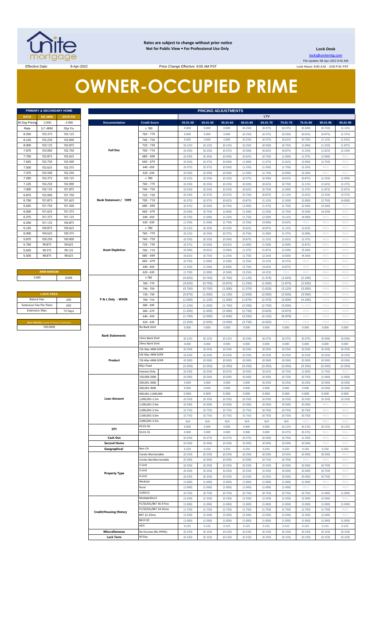

**Rates are subject to change without prior notice Not for Public View • For Professional Use Only** 

**Lock Desk**

locks@unitemtg.com File Update: 08-Apr-2022 6:56 AM Lock Hours: 9:00 A.M. - 3:00 P.M. PST

Effective Date: 8:00 AM PST

# **OWNER-OCCUPIED PRIME**

| PRIMARY & SECONDARY HOME |                |                 |  |  |  |  |
|--------------------------|----------------|-----------------|--|--|--|--|
| <b>RATE</b>              | <b>5/6 ARM</b> | <b>30YR FIX</b> |  |  |  |  |
| 30 Day Pricing           | $-2.000$       | $-2.000$        |  |  |  |  |
| Rate                     | 5/1 ARM        | 30yr Fix        |  |  |  |  |
| 8.250                    | 103.375        | 103.125         |  |  |  |  |
| 8.125                    | 103.250        | 103.000         |  |  |  |  |
| 8.000                    | 103.125        | 102.875         |  |  |  |  |
| 7.875                    | 103.000        | 102.750         |  |  |  |  |
| 7.750                    | 102.875        | 102.625         |  |  |  |  |
| 7.625                    | 102.750        | 102.500         |  |  |  |  |
| 7.500                    | 102.625        | 102.375         |  |  |  |  |
| 7.375                    | 102.500        | 102.250         |  |  |  |  |
| 7.250                    | 102.375        | 102.125         |  |  |  |  |
| 7.125                    | 102.250        | 102.000         |  |  |  |  |
| 7.000                    | 102.125        | 101.875         |  |  |  |  |
| 6.875                    | 102.000        | 101.750         |  |  |  |  |
| 6.750                    | 101.875        | 101.625         |  |  |  |  |
| 6.625                    | 101.750        | 101.500         |  |  |  |  |
| 6.500                    | 101.625        | 101.375         |  |  |  |  |
| 6.375                    | 101.375        | 101.125         |  |  |  |  |
| 6.250                    | 101.125        | 100.875         |  |  |  |  |
| 6.125                    | 100.875        | 100.625         |  |  |  |  |
| 6.000                    | 100.625        | 100.375         |  |  |  |  |
| 5.875                    | 100.250        | 100.000         |  |  |  |  |
| 5.750                    | 99.875         | 99.625          |  |  |  |  |
| 5.625                    | 99.375         | 99.125          |  |  |  |  |
| 5.500                    | 98.875         | 98.625          |  |  |  |  |

| <b>ARM MARGIN</b> |      |  |  |  |
|-------------------|------|--|--|--|
| 5.000             | SOFR |  |  |  |

| <b>LOCK FEES</b>              |         |  |  |  |  |
|-------------------------------|---------|--|--|--|--|
| Relock Fee:                   | .250    |  |  |  |  |
| <b>Extension Fee Per Diem</b> | .030    |  |  |  |  |
| <b>Extension Max:</b>         | 15 Days |  |  |  |  |

|                       | PRIMARY & SECONDARY HOME                |          |                                           |                                |                    |          | <b>PRICING ADJUSTMENTS</b> |                    |                    |                    |                    |                |                    |
|-----------------------|-----------------------------------------|----------|-------------------------------------------|--------------------------------|--------------------|----------|----------------------------|--------------------|--------------------|--------------------|--------------------|----------------|--------------------|
| <b>RATE</b>           | <b>5/6 ARM</b>                          | 30YR FIX |                                           |                                |                    |          |                            |                    | LTV                |                    |                    |                |                    |
| 30 Day Pricing        | $-2.000$                                | $-2.000$ | <b>Documentation</b>                      | <b>Credit Score</b>            | 00.01-50           | 50.01-55 | 55.01-60                   | 60.01-65           | 65.01-70           | 70.01-75           | 75.01-80           | 80.01-85       | 85.01-90           |
| Rate                  | 5/1 ARM                                 | 30yr Fix |                                           | $\geq 780$                     | 0.000              | 0.000    | 0.000                      | (0.250)            | (0.375)            | (0.375)            | (0.500)            | (0.750)        | (1.125)            |
| 8.250                 | 103.375                                 | 103.125  |                                           | 760 - 779                      | 0.000              | 0.000    | 0.000                      | (0.250)            | (0.375)            | (0.500)            | (0.625)            | (0.875)        | (1.375)            |
| 8.125                 | 103.250                                 | 103.000  |                                           | 740 - 759                      | 0.000              | 0.000    | 0.000                      | (0.250)            | (0.375)            | (0.625)            | (0.750)            | (1.125)        | (1.625)            |
| 8.000                 | 103.125                                 | 102.875  |                                           | 720 - 739                      | (0.125)            | (0.125)  | (0.125)                    | (0.250)            | (0.500)            | (0.750)            | (1.000)            | (1.250)        | (1.875)            |
| 7.875                 | 103.000                                 | 102.750  | <b>Full Doc</b>                           | $700 - 719$                    | (0.250)            | (0.250)  | (0.375)                    | (0.500)            | (0.625)            | (0.875)            | (1.250)            | (1.625)        | (2.250)            |
| 7.750                 | 102.875                                 | 102.625  |                                           | 680 - 699                      | (0.250)            | (0.250)  | (0.500)                    | (0.625)            | (0.750)            | (1.000)            | (1.375)            | (2.000)        | #N/ $\rho$         |
| 7.625                 | 102.750                                 | 102.500  |                                           | $660 - 679$                    | (0.250)            | (0.375)  | (0.500)                    | (1.000)            | (1.375)            | (1.625)            | (2.000)            | (2.750)        | $\#N/A$            |
| 7.500                 | 102.625                                 | 102.375  |                                           | $640 - 659$                    | (0.375)            | (0.375)  | (0.500)                    | (1.250)            | (1.500)            | (1.750)            | (2.250)            | $\#N/\Lambda$  | #N/A               |
| 7.375                 | 102.500                                 | 102.250  |                                           | $620 - 639$                    | (0.500)            | (0.500)  | (0.500)                    | (1.500)            | (1.750)            | (2.000)            | (2.500)            | #N/A           | $\#N/A$            |
| 7.250                 | 102.375                                 | 102.125  |                                           | $\geq 780$                     | (0.125)            | (0.250)  | (0.250)                    | (0.375)            | (0.500)            | (0.625)            | (0.875)            | (1.250)        | (2.000)            |
| 7.125                 | 102.250                                 | 102.000  |                                           | 760 - 779                      | (0.250)            | (0.250)  | (0.250)                    | (0.500)            | (0.625)            | (0.750)            | (1.125)            | (1.625)        | (2.375)            |
| 7.000                 | 102.125                                 | 101.875  |                                           | 740 - 759                      | (0.250)            | (0.250)  | (0.250)                    | (0.625)            | (0.750)            | (1.000)            | (1.375)            | (1.875)        | (2.875)            |
| 6.875                 | 102.000                                 | 101.750  |                                           | 720 - 739                      | (0.250)            | (0.375)  | (0.375)                    | (0.750)            | (0.875)            | (1.125)            | (1.625)            | (2.250)        | (3.375)            |
| 6.750                 | 101.875                                 | 101.625  | Bank Statement / 1099                     | 700 - 719                      | (0.375)            | (0.375)  | (0.625)                    | (0.875)            | (1.125)            | (1.500)            | (2.000)            | (2.750)        | (4.000)            |
| 6.625                 | 101.750                                 | 101.500  |                                           | 680 - 699                      | (0.375)            | (0.500)  | (0.750)                    | (1.000)            | (1.375)            | (1.750)            | (2.500)            | (3.500)        | #N/A               |
| 6.500                 | 101.625                                 | 101.375  |                                           | $660 - 679$                    | (0.500)            | (0.750)  | (1.000)                    | (1.500)            | (2.250)            | (2.750)            | (3.500)            | (4.250)        | $\#N/A$            |
| 6.375                 | 101.375                                 | 101.125  |                                           | $640 - 659$                    | (0.750)            | (1.000)  | (1.250)                    | (1.750)            | (2.500)            | (3.125)            | (4.000)            | #N/A           | $\#N/A$            |
| 6.250                 | 101.125                                 | 100.875  |                                           | $620 - 639$                    | (1.250)            | (1.500)  | (1.750)                    | (2.250)            | (3.000)            | (3.625)            | $\#N/A$            | #N/A           | $\#N/A$            |
| 6.125                 | 100.875                                 | 100.625  |                                           | $\geq 780$                     | (0.125)            | (0.250)  | (0.250)                    | (0.625)            | (0.875)            | (1.125)            | (1.625)            | #N/A           | $\#N/A$            |
| 6.000                 | 100.625                                 | 100.375  |                                           | 760 - 779                      | (0.125)            | (0.250)  | (0.375)                    | (0.750)            | (1.000)            | (1.375)            | (2.000)            | #N/A           | #N/A               |
| 5.875                 | 100.250                                 | 100.000  |                                           | 740 - 759                      | (0.250)            | (0.250)  | (0.500)                    | (0.875)            | (1.125)            | (1.625)            | (2.375)            | #N/A           | $\#N/A$            |
| 5.750                 | 99.875                                  | 99.625   |                                           | 720 - 739                      | (0.375)            | (0.500)  | (0.625)                    | (1.000)            | (1.500)            | (2.000)            | (2.875)            | #N/A           | #N/ $\rho$         |
| 5.625                 | 99.375                                  | 99.125   | <b>Asset Depletion</b>                    | $700 - 719$                    | (0.500)            | (0.625)  | (1.000)                    | (1.375)            | (1.875)            | (2.500)            | (3.500)            | #N/A           | $\#N/A$            |
| 5.500                 | 98.875                                  | 98.625   |                                           | 680 - 699                      | (0.625)            | (0.750)  | (1.250)                    | (1.750)            | (2.250)            | (3.000)            | (4.500)            | #N/A           | #N/ $\rho$         |
|                       |                                         |          |                                           | $660 - 679$                    | (0.750)            | (1.000)  | (1.500)                    | (2.250)            | (3.125)            | (4.375)            | H N/A              | #N/A           | $\#N/A$            |
|                       |                                         |          |                                           | $640 - 659$                    | (1.250)            | (1.500)  | (2.000)                    | (2.750)            | (3.625)            | (4.875)            | $\#N/A$            | #N/A           | #N/ $\rho$         |
|                       | <b>ARM MARGIN</b>                       |          |                                           | $620 - 639$                    | (1.750)            | (2.000)  | (2.500)                    | (3.250)            | (4.125)            | #N/A               | $\#N/A$            | #N/A           | $\#N/A$            |
| 5.000                 |                                         | SOFR     |                                           | $\geq 780$                     | (0.625)            | (0.750)  | (0.750)                    | (1.125)            | (1.375)            | (1.625)            | (2.250)            | #N/A           | #N/A               |
|                       |                                         |          |                                           | 760 - 779                      | (0.625)            | (0.750)  | (0.875)                    | (1.250)            | (1.500)            | (1.875)            | (2.625)            | #N/A           | #N/A               |
|                       |                                         |          |                                           | 740 - 759                      | (0.750)            | (0.750)  | (1.000)                    | (1.375)            | (1.625)            | (2.125)            | (3.000)            | #N/A           | #N/A               |
|                       | <b>LOCK FEES</b>                        |          |                                           | 720 - 739                      | (0.875)            | (1.000)  | (1.125)                    | (1.500)            | (2.000)            | (2.500)            | (3.500)            | #N/A           | #N/A               |
| Relock Fee:           |                                         | .250     | P & L Only - WVOE                         | $700 - 719$                    | (1.000)            | (1.125)  | (1.500)                    | (1.875)            | (2.375)            | (3.000)            | (4.250)            | #N/A           | #N/A               |
|                       | Extension Fee Per Diem                  | .030     |                                           | 680 - 699                      | (1.125)            | (1.250)  | (1.750)                    | (2.250)            | (2.750)            | (3.500)            | (5.000)            | #N/A           | #N/A               |
| <b>Extension Max:</b> |                                         | 15 Days  |                                           | $660 - 679$                    | (1.250)            | (1.500)  | (2.000)                    | (2.750)            | (3.625)            | (4.875)            | $\#N/A$            | #N/A           | #N/A               |
|                       |                                         |          |                                           | $640 - 659$                    | (1.750)            | (2.000)  | (2.500)                    | (3.250)            | (4.125)            | (5.375)            | $\#N/A$            | #N/A           | #N/A               |
|                       | MAX PRICING (Lower of Price or Premium) |          |                                           | $620 - 639$                    | (2.250)            | (2.500)  | (3.000)                    | (3.750)            | (4.625)            | #N//               | $\#N/A$            | #N/A           | #N/A               |
|                       | 100.0000                                |          |                                           | No Bank Stmt                   | 0.000              | 0.000    | 0.000                      | 0.000              | 0.000              | 0.000              | 0.000              | 0.000          | 0.000              |
|                       |                                         |          |                                           |                                |                    |          |                            |                    |                    |                    |                    |                |                    |
|                       |                                         |          |                                           |                                |                    |          |                            |                    |                    |                    |                    |                |                    |
|                       |                                         |          | <b>Bank Statements</b>                    | 12mo Bank Stmt                 | (0.125)            | (0.125)  | (0.125)                    | (0.250)            | (0.375)            | (0.375)            | (0.375)            | (0.500)        | (0.500)            |
|                       |                                         |          |                                           | 24mo Bank Stmt                 | 0.000              | 0.000    | 0.000                      | 0.000              | 0.000              | 0.000              | 0.000              | 0.000          | 0.000              |
|                       |                                         |          |                                           | 7/6 30yr ARM SOFR              | (0.250)            | (0.250)  | (0.250)                    | (0.250)            | (0.250)            | (0.250)            | (0.250)            | (0.250)        | (0.250)            |
|                       |                                         |          |                                           | 5/6 40yr ARM SOFR              | (0.250)            | (0.250)  | (0.250)                    | (0.250)            | (0.250)            | (0.250)            | (0.250)            | (0.250)        | (0.250)            |
|                       |                                         |          | Product                                   | 7/6 40yr ARM SOFR              | (0.500)            | (0.500)  | (0.500)                    | (0.500)            | (0.500)            | (0.500)            | (0.500)            | (0.500)        | (0.500)            |
|                       |                                         |          |                                           | 40yr Fixed                     | (0.250)            | (0.250)  | (0.250)                    | (0.250)            | (0.250)            | (0.250)            | (0.250)            | (0.250)        | (0.250)            |
|                       |                                         |          |                                           | Interest-Only                  | (0.250)            | (0.250)  | (0.375)                    | (0.500)            | (0.625)            | (0.750)            | (1.000)            | (1.750)        | #N/A               |
|                       |                                         |          |                                           | 150,000-200k                   | (0.500)            | (0.500)  | (0.500)                    | (0.500)            | (0.500)            | (0.750)            | (0.750)            | (1.000)        | (1.000)            |
|                       |                                         |          |                                           | 200,001-300k                   | 0.000              | 0.000    | 0.000                      | 0.000              | (0.250)            | (0.250)            | (0.250)            | (0.500)        | (0.500)            |
|                       |                                         |          |                                           | 300,001-400k                   | 0.000              | 0.000    | 0.000                      | 0.000              | 0.000              | 0.000              | 0.000              | (0.500)        | (0.500)            |
|                       |                                         |          |                                           | 400,001-1,000,000              | 0.000              | 0.000    | 0.000                      | 0.000              | 0.000              | 0.000              | 0.000              | 0.000          | 0.000              |
|                       |                                         |          | <b>Loan Amount</b>                        | 000,001-1.5m                   | (0.250)            | (0.250)  | (0.250)                    | (0.250)            | (0.250)            | (0.250)            | (0.250)            | (0.250)        | (0.250)            |
|                       |                                         |          |                                           | 1,500,001-2.0m                 | (0.500)            | (0.500)  | (0.500)                    | (0.500)            | (0.500)            | (0.500)            | (0.500)            | #N/A           | H N/A              |
|                       |                                         |          |                                           | 2.000.001-2.5m                 | (0.750)            | (0.750)  | (0.750)                    | (0.750)            | (0.750)            | (0.750)            | (0.750)            | #N/A           | #N/A               |
|                       |                                         |          |                                           | 2,500,001-3.0m                 | (0.750)            | (0.750)  | (0.750)                    | (0.750)            | (0.750)            | (0.750)            | (0.750)            | #N/A           | $\#N/A$            |
|                       |                                         |          |                                           | 3,000,001-3.5m                 | N/A                | N/A      | N/A                        | N/A                | N/A                | N/A                | $\#N/A$            | #N/A           | #N/A               |
|                       |                                         |          |                                           | 43.01-50                       | 0.000              | 0.000    | 0.000                      | 0.000              | 0.000              | (0.125)            | (0.125)            | (0.125)        | (0.125)            |
|                       |                                         |          | DTI                                       | 50.01-55                       | 0.000              | 0.000    | 0.000                      | 0.000              | 0.000              | (0.375)            | (0.375)            | $\#N$ / $\neq$ | #N/ $\rho$         |
|                       |                                         |          | Cash Out                                  |                                | (0.250)            | (0.375)  | (0.375)                    | (0.375)            | (0.500)            | (0.750)            | (1.250)            | #N/A           | $\#N/A$            |
|                       |                                         |          | <b>Second Home</b>                        |                                | (0.500)            | (0.500)  | (0.500)                    | (0.500)            | (0.500)            | (0.500)            | (0.500)            | #N/A           | #N/A               |
|                       |                                         |          | Geographical                              | Non-CA                         | 0.250              | 0.250    | 0.250                      | 0.250              | 0.250              | 0.250              | 0.250              | 0.250          | 0.250              |
|                       |                                         |          |                                           | Condo-Warrantable              | (0.250)            | (0.250)  | (0.250)                    | (0.250)            | (0.500)            | (0.500)            | (0.500)            | (0.500)        | #N/ $\rho$         |
|                       |                                         |          |                                           | Condo-NonWarrantable           | (0.500)            | (0.500)  | (0.500)                    | (0.500)            | (0.750)            | (0.750)            | $\#N/A$            | #N/ $\rho$     | #N/A               |
|                       |                                         |          |                                           | 2-Unit                         | (0.250)            | (0.250)  | (0.250)                    | (0.250)            | (0.500)            | (0.500)            | (0.500)            | (0.750)        | $\#N/A$            |
|                       |                                         |          |                                           | 3-Unit                         | (0.250)            | (0.250)  | (0.250)                    | (0.250)            | (0.500)            | (0.500)            | (0.500)            | (0.750)        | #N/A               |
|                       |                                         |          | <b>Property Type</b>                      | 4-Unit                         | (0.250)            | (0.250)  | (0.250)                    | (0.250)            | (0.500)            | (0.500)            | (0.500)            | (0.750)        | $\#N/A$            |
|                       |                                         |          |                                           | Modular                        | (1.000)            | (1.000)  | (1.000)                    | (1.000)            | (1.000)            | (1.000)            | (1.000)            | #N/A           | #N/A               |
|                       |                                         |          |                                           | Rural                          | (1.000)            | (1.000)  | (1.000)                    | (1.000)            | (1.000)            | (1.000)            | H N/A              | $\#N/\Lambda$  | #N/A               |
|                       |                                         |          |                                           | 1x30x12                        | (0.750)            | (0.750)  | (0.750)                    | (0.750)            | (0.750)            | (0.750)            | (0.750)            | (1.000)        | (1.000)            |
|                       |                                         |          |                                           | Multiple30x12                  | (2.250)            | (2.250)  | (2.250)                    | (2.250)            | (2.250)            | (2.250)            | (2.500)            | (2.500)        | #N/A               |
|                       |                                         |          |                                           | FC/SS/DIL/BK7 36-47mo          | (1.000)            | (1.000)  | (1.000)                    | (1.000)            | (1.000)            | (1.000)            | (1.000)            | (1.000)        | (1.000)            |
|                       |                                         |          |                                           | FC/SS/DIL/BK7 24-35mo          | (1.750)            | (1.750)  | (1.750)                    | (1.750)            | (1.750)            | (1.750)            | (1.750)            | (1.750)        | #N/ $\rho$         |
|                       |                                         |          | <b>Credit/Housing History</b>             | BK7 12-23mo                    | (2.500)            | (2.500)  | (2.500)                    | (2.500)            | (2.500)            | (2.500)            | (2.500)            | (2.500)        | $\#N/A$            |
|                       |                                         |          |                                           | BK13 DC                        | (1.000)            | (1.000)  | (1.000)                    | (1.000)            | (1.000)            | (1.000)            | (1.000)            | (1.000)        | (1.000)            |
|                       |                                         |          |                                           | ACH                            | 0.125              | 0.125    | 0.125                      | 0.125              | 0.125              | 0.125              | 0.125              | 0.125          | 0.125              |
|                       |                                         |          | <b>Misccellaneous</b><br><b>Lock Term</b> | No Escrows (No HPML)<br>40 Day | (0.150)<br>(0.150) | (0.150)  | (0.150)<br>(0.150)         | (0.150)<br>(0.150) | (0.150)<br>(0.150) | (0.150)<br>(0.150) | (0.150)<br>(0.150) | (0.150)        | (0.150)<br>(0.150) |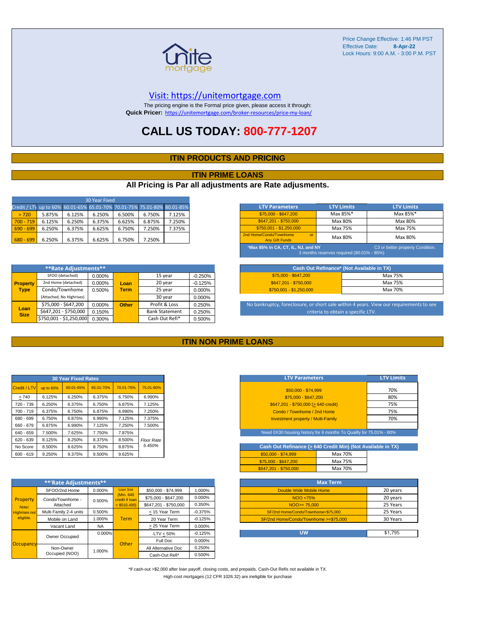

#### [V](https://unitemortgage.com/)isit: https://unitemortgage.com

The pricing engine is the Formal price given, please access it through: **Quick Pricer:** [https://un](https://unitemortgage.com/broker-resources/price-my-loan/)itemortgage.com/broker-resources/price-my-loan/

## **CALL US TODAY: 800-777-1207**

#### **ITIN PRODUCTS AND PRICING**

#### **ITIN PRIME LOANS**

#### **All Pricing is Par all adjustments are Rate adjusments.**

| 30 Year Fixed                                                            |        |        |        |        |        |        |
|--------------------------------------------------------------------------|--------|--------|--------|--------|--------|--------|
| Credit / LTV up to 60% 60.01-65% 65.01-70% 70.01-75% 75.01-80% 80.01-85% |        |        |        |        |        |        |
| > 720                                                                    | 5.875% | 6.125% | 6.250% | 6.500% | 6.750% | 7.125% |
| $700 - 719$                                                              | 6.125% | 6.250% | 6.375% | 6.625% | 6.875% | 7.250% |
| $690 - 699$                                                              | 6.250% | 6.375% | 6.625% | 6.750% | 7.250% | 7.375% |
| $680 - 699$                                                              | 6.250% | 6.375% | 6.625% | 6.750% | 7.250% |        |

|                     | **Rate Adjustments**     |        |              |                       |           |
|---------------------|--------------------------|--------|--------------|-----------------------|-----------|
|                     | SFOO (detached)          | 0.000% |              | 15 year               | $-0.250%$ |
| <b>Property</b>     | 2nd Home (detached)      | 0.000% | Loan         | 20 year               | $-0.125%$ |
| <b>Type</b>         | Condo/Townhome           | 0.500% | <b>Term</b>  | 25 year               | 0.000%    |
|                     | (Attached, No Highrises) |        |              | 30 year               | 0.000%    |
|                     | \$75,000 - \$647,200     | 0.000% | <b>Other</b> | Profit & Loss         | 0.250%    |
| Loan<br><b>Size</b> | \$647,201 - \$750,000    | 0.150% |              | <b>Bank Statement</b> | 0.250%    |
|                     | \$750,001 - \$1,250,000  | 0.300% |              | Cash Out Refi*        | 0.500%    |

| <b>LTV Parameters</b>                                                                                                | <b>LTV Limits</b> | <b>LTV Limits</b> |  |  |  |  |  |
|----------------------------------------------------------------------------------------------------------------------|-------------------|-------------------|--|--|--|--|--|
| \$75,000 - \$647,200                                                                                                 | Max 85%*          | Max 85%*          |  |  |  |  |  |
| \$647,201 - \$750,000                                                                                                | Max 80%           | Max 80%           |  |  |  |  |  |
| $$750.001 - $1.250.000$                                                                                              | Max 75%           | Max 75%           |  |  |  |  |  |
| 2nd Home/Condo/Townhome<br>$\alpha$ <sup>r</sup><br><b>Any Gift Funds</b>                                            | Max 80%           | Max 80%           |  |  |  |  |  |
| *Max 85% in CA, CT, IL, NJ, and NY,<br>C3 or better property Condition.<br>3 months reserves required (80.01% - 85%) |                   |                   |  |  |  |  |  |

| Cash Out Refinance* (Not Available in TX) |         |  |  |  |  |  |  |  |
|-------------------------------------------|---------|--|--|--|--|--|--|--|
| \$75,000 - \$647,200                      | Max 75% |  |  |  |  |  |  |  |
| \$647.201 - \$750.000                     | Max 75% |  |  |  |  |  |  |  |
| $$750.001 - $1.250.000$                   | Max 70% |  |  |  |  |  |  |  |

No bankruptcy, foreclosure, or short sale within 4 years. View our requirements to see criteria to obtain a specific LTV.

#### **ITIN NON PRIME LOANS**

| <b>30 Year Fixed Rates</b> |           |           |           |           |                   |  |  |  |  |  |  |
|----------------------------|-----------|-----------|-----------|-----------|-------------------|--|--|--|--|--|--|
| Credit / LTV               | up to 60% | 60.01-65% | 65.01-70% | 70.01-75% | 75.01-80%         |  |  |  |  |  |  |
| >740                       | 6.125%    | 6.250%    | 6.375%    | 6.750%    | 6.990%            |  |  |  |  |  |  |
| 720 - 739                  | 6.250%    | 6.375%    | 6.750%    | 6.875%    | 7.125%            |  |  |  |  |  |  |
| 700 - 719                  | 6.375%    | 6.750%    | 6.875%    | 6.990%    | 7.250%            |  |  |  |  |  |  |
| 680 - 699                  | 6.750%    | 6.875%    | 6.990%    | 7.125%    | 7.375%            |  |  |  |  |  |  |
| 660 - 679                  | 6.875%    | 6.990%    | 7.125%    | 7.250%    | 7.500%            |  |  |  |  |  |  |
| 640 - 659                  | 7.500%    | 7.625%    | 7.750%    | 7.875%    |                   |  |  |  |  |  |  |
| $620 - 639$                | 8.125%    | 8.250%    | 8.375%    | 8.500%    | <b>Floor Rate</b> |  |  |  |  |  |  |
| No Score                   | 8.500%    | 8.625%    | 8.750%    | 8.875%    | 5.450%            |  |  |  |  |  |  |
| $600 - 619$                | 9.250%    | 9.375%    | 9.500%    | 9.625%    |                   |  |  |  |  |  |  |

|                                   | **'Rate Adjustments**  |           |                              |                       |           |  |  |  |  |  |  |  |
|-----------------------------------|------------------------|-----------|------------------------------|-----------------------|-----------|--|--|--|--|--|--|--|
|                                   | SFOO/2nd Home          | 0.000%    | <b>Loan Size</b>             | \$50,000 - \$74,999   | 1.000%    |  |  |  |  |  |  |  |
| Property                          | Condo/Townhome -       | 0.500%    | (Min. 640)<br>credit if Ioan | \$75,000 - \$647,200  | 0.000%    |  |  |  |  |  |  |  |
| Note:                             | Attached               |           | $>$ \$510,400)               | \$647.201 - \$750.000 | 0.350%    |  |  |  |  |  |  |  |
| <b>Highrises not</b><br>eligible. | Multi Family 2-4 units | 0.500%    |                              | < 15 Year Term        | $-0.375%$ |  |  |  |  |  |  |  |
|                                   | Mobile on Land         | 1.000%    | <b>Term</b>                  | 20 Year Term          | $-0.125%$ |  |  |  |  |  |  |  |
|                                   | Vacant Land            | <b>NA</b> |                              | > 25 Year Term        | 0.000%    |  |  |  |  |  |  |  |
|                                   | Owner Occupied         | $0.000\%$ |                              | $LTV < 50\%$          | $-0.125%$ |  |  |  |  |  |  |  |
|                                   |                        |           | Other                        | Full Doc              | 0.000%    |  |  |  |  |  |  |  |
| Occupancy                         | Non-Owner              | 1.000%    |                              | All Alternative Doc   | 0.250%    |  |  |  |  |  |  |  |
|                                   | Occupied (NOO)         |           |                              | Cash-Out Refi*        | 0.500%    |  |  |  |  |  |  |  |

| <b>LTV Parameters</b>                        | <b>LTV Limits</b> |
|----------------------------------------------|-------------------|
| \$50,000 - \$74,999                          | 70%               |
| \$75,000 - \$647,200                         | 80%               |
| $$647,201 - $750,000 (> 640 \text{ credit})$ | 75%               |
| Condo / Townhome / 2nd Home                  | 75%               |
| <b>Investment property / Multi-Family</b>    | 70%               |
|                                              |                   |

Need 0X30 housing history for 6 months To Qualify for 75.01% - 80%

| Cash Out Refinance (> 640 Credit Min) (Not Available in TX) |         |  |  |  |  |  |  |  |  |
|-------------------------------------------------------------|---------|--|--|--|--|--|--|--|--|
| $$50.000 - $74.999$                                         | Max 70% |  |  |  |  |  |  |  |  |
| \$75,000 - \$647,200                                        | Max 75% |  |  |  |  |  |  |  |  |
| \$647.201 - \$750.000                                       | Max 70% |  |  |  |  |  |  |  |  |

| <b>Max Term</b>                       |          |  |  |  |  |  |  |  |
|---------------------------------------|----------|--|--|--|--|--|--|--|
| Double Wide Mobile Home               | 20 years |  |  |  |  |  |  |  |
| NOO <75%                              | 20 years |  |  |  |  |  |  |  |
| $NOO > = 75.000$                      | 25 Years |  |  |  |  |  |  |  |
| SF/2nd Home/Condo/Townhome<\$75,000   | 25 Years |  |  |  |  |  |  |  |
| SF/2nd Home/Condo/Townhome >=\$75,000 | 30 Years |  |  |  |  |  |  |  |
|                                       |          |  |  |  |  |  |  |  |
| บพ                                    | \$1.795  |  |  |  |  |  |  |  |

\*If cash-out >\$2,000 after loan payoff, closing costs, and prepaids. Cash-Out Refis not available in TX. High-cost mortgages (12 CFR 1026.32) are ineligible for purchase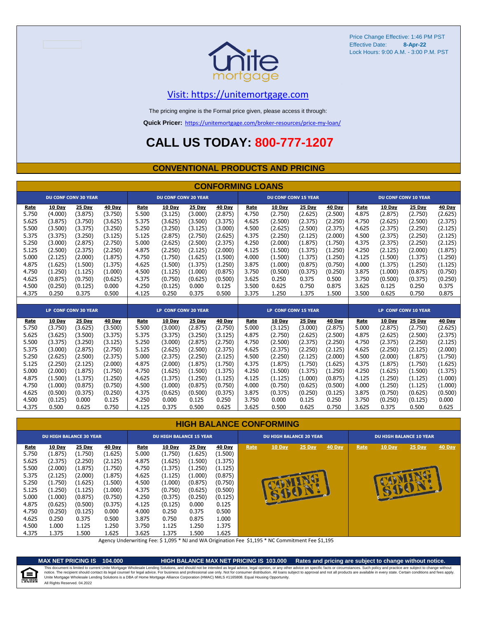

### [V](https://unitemortgage.com/)isit: https://unitemortgage.com

The pricing engine is the Formal price given, please access it through:

**Quick Pricer:** [https://un](https://unitemortgage.com/broker-resources/price-my-loan/)itemortgage.com/broker-resources/price-my-loan/

## **CALL US TODAY: 800-777-1207**

#### **CONVENTIONAL PRODUCTS AND PRICING**

|       | <b>CONFORMING LOANS</b> |                             |         |                             |                             |         |         |       |                             |         |         |       |                             |                             |         |  |
|-------|-------------------------|-----------------------------|---------|-----------------------------|-----------------------------|---------|---------|-------|-----------------------------|---------|---------|-------|-----------------------------|-----------------------------|---------|--|
|       |                         | <b>DU CONF CONV 30 YEAR</b> |         | <b>DU CONF CONV 20 YEAR</b> |                             |         |         |       | <b>DU CONF CONV 15 YEAR</b> |         |         |       | <b>DU CONF CONV 10 YEAR</b> |                             |         |  |
| Rate  | 10 Day                  | 25 Day                      | 40 Day  | Rate                        | 10 Day                      | 25 Day  | 40 Day  | Rate  | 10 Day                      | 25 Day  | 40 Day  | Rate  | 10 Day                      | 25 Day                      | 40 Day  |  |
| 5.750 | (4.000)                 | (3.875)                     | (3.750) | 5.500                       | (3.125)                     | (3.000) | (2.875) | 4.750 | (2.750)                     | (2.625) | (2.500) | 4.875 | (2.875)                     | (2.750)                     | (2.625) |  |
| 5.625 | (3.875)                 | (3.750)                     | (3.625) | 5.375                       | (3.625)                     | (3.500) | (3.375) | 4.625 | (2.500)                     | (2.375) | (2.250) | 4.750 | (2.625)                     | (2.500)                     | (2.375) |  |
| 5.500 | (3.500)                 | (3.375)                     | (3.250) | 5.250                       | (3.250)                     | (3.125) | (3.000) | 4.500 | (2.625)                     | (2.500) | (2.375) | 4.625 | (2.375)                     | (2.250)                     | (2.125) |  |
| 5.375 | (3.375)                 | (3.250)                     | (3.125) | 5.125                       | (2.875)                     | (2.750) | (2.625) | 4.375 | (2.250)                     | (2.125) | (2.000) | 4.500 | (2.375)                     | (2.250)                     | (2.125) |  |
| 5.250 | (3.000)                 | (2.875)                     | (2.750) | 5.000                       | (2.625)                     | (2.500) | (2.375) | 4.250 | (2.000)                     | (1.875) | (1.750) | 4.375 | (2.375)                     | (2.250)                     | (2.125) |  |
| 5.125 | (2.500)                 | (2.375)                     | (2.250) | 4.875                       | (2.250)                     | (2.125) | (2.000) | 4.125 | (1.500)                     | (1.375) | (1.250) | 4.250 | (2.125)                     | (2.000)                     | (1.875) |  |
| 5.000 | (2.125)                 | (2.000)                     | (1.875) | 4.750                       | (1.750)                     | (1.625) | (1.500) | 4.000 | (1.500)                     | (1.375) | (1.250) | 4.125 | (1.500)                     | (1.375)                     | (1.250) |  |
| 4.875 | (1.625)                 | (1.500)                     | (1.375) | 4.625                       | (1.500)                     | (1.375) | (1.250) | 3.875 | (1.000)                     | (0.875) | (0.750) | 4.000 | (1.375)                     | (1.250)                     | (1.125) |  |
| 4.750 | (1.250)                 | (1.125)                     | (1.000) | 4.500                       | (1.125)                     | (1.000) | (0.875) | 3.750 | (0.500)                     | (0.375) | (0.250) | 3.875 | (1.000)                     | (0.875)                     | (0.750) |  |
| 4.625 | (0.875)                 | (0.750)                     | (0.625) | 4.375                       | (0.750)                     | (0.625) | (0.500) | 3.625 | 0.250                       | 0.375   | 0.500   | 3.750 | (0.500)                     | (0.375)                     | (0.250) |  |
| 4.500 | (0.250)                 | (0.125)                     | 0.000   | 4.250                       | (0.125)                     | 0.000   | 0.125   | 3.500 | 0.625                       | 0.750   | 0.875   | 3.625 | 0.125                       | 0.250                       | 0.375   |  |
| 4.375 | 0.250                   | 0.375                       | 0.500   | 4.125                       | 0.250                       | 0.375   | 0.500   | 3.375 | 1.250                       | 1.375   | 1.500   | 3.500 | 0.625                       | 0.750                       | 0.875   |  |
|       |                         |                             |         |                             |                             |         |         |       |                             |         |         |       |                             |                             |         |  |
|       |                         | <b>LP CONF CONV 30 YEAR</b> |         |                             | <b>LP CONF CONV 20 YEAR</b> |         |         |       | <b>LP CONF CONV 15 YEAR</b> |         |         |       |                             | <b>LP CONF CONV 10 YEAR</b> |         |  |
| Rate  | 10 Day                  | 25 Day                      | 40 Day  | Rate                        | 10 Day                      | 25 Day  | 40 Day  | Rate  | 10 Day                      | 25 Day  | 40 Day  | Rate  | 10 Day                      | 25 Day                      | 40 Day  |  |
| 5.750 | (3.750)                 | (3.625)                     | (3.500) | 5.500                       | (3.000)                     | (2.875) | (2.750) | 5.000 | (3.125)                     | (3.000) | (2.875) | 5.000 | (2.875)                     | (2.750)                     | (2.625) |  |
| 5.625 | (3.625)                 | (3.500)                     | (3.375) | 5.375                       | (3.375)                     | (3.250) | (3.125) | 4.875 | (2.750)                     | (2.625) | (2.500) | 4.875 | (2.625)                     | (2.500)                     | (2.375) |  |
| 5.500 | (3.375)                 | (3.250)                     | (3.125) | 5.250                       | (3.000)                     | (2.875) | (2.750) | 4.750 | (2.500)                     | (2.375) | (2.250) | 4.750 | (2.375)                     | (2.250)                     | (2.125) |  |
| 5.375 | (3.000)                 | (2.875)                     | (2.750) | 5.125                       | (2.625)                     | (2.500) | (2.375) | 4.625 | (2.375)                     | (2.250) | (2.125) | 4.625 | (2.250)                     | (2.125)                     | (2.000) |  |
| 5.250 | (2.625)                 | (2.500)                     | (2.375) | 5.000                       | (2.375)                     | (2.250) | (2.125) | 4.500 | (2.250)                     | (2.125) | (2.000) | 4.500 | (2.000)                     | (1.875)                     | (1.750) |  |
| 5.125 | (2.250)                 | (2.125)                     | (2.000) | 4.875                       | (2.000)                     | (1.875) | (1.750) | 4.375 | (1.875)                     | (1.750) | (1.625) | 4.375 | (1.875)                     | (1.750)                     | (1.625) |  |
| 5.000 | (2.000)                 | (1.875)                     | (1.750) | 4.750                       | (1.625)                     | (1.500) | (1.375) | 4.250 | (1.500)                     | (1.375) | (1.250) | 4.250 | (1.625)                     | (1.500)                     | (1.375) |  |
| 4.875 | (1.500)                 | (1.375)                     | (1.250) | 4.625                       | (1.375)                     | (1.250) | (1.125) | 4.125 | (1.125)                     | (1.000) | (0.875) | 4.125 | (1.250)                     | (1.125)                     | (1.000) |  |
| 4.750 | (1.000)                 | (0.875)                     | (0.750) | 4.500                       | (1.000)                     | (0.875) | (0.750) | 4.000 | (0.750)                     | (0.625) | (0.500) | 4.000 | (1.250)                     | (1.125)                     | (1.000) |  |
| 4.625 | (0.500)                 | (0.375)                     | (0.250) | 4.375                       | (0.625)                     | (0.500) | (0.375) | 3.875 | (0.375)                     | (0.250) | (0.125) | 3.875 | (0.750)                     | (0.625)                     | (0.500) |  |
| 4.500 | (0.125)                 | 0.000                       | 0.125   | 4.250                       | 0.000                       | 0.125   | 0.250   | 3.750 | 0.000                       | 0.125   | 0.250   | 3.750 | (0.250)                     | (0.125)                     | 0.000   |  |
| 4.375 | 0.500                   | 0.625                       | 0.750   | 4.125                       | 0.375                       | 0.500   | 0.625   | 3.625 | 0.500                       | 0.625   | 0.750   | 3.625 | 0.375                       | 0.500                       | 0.625   |  |

#### **HIGH BALANCE CONFORMING**

|                                                                                                                         | <b>DU HIGH BALANCE 30 YEAR</b>                                                                                                       |                                                                                                                                      |                                                                                                                                           |                                                                                                                  |                                                                                                                                           | <b>DU HIGH BALANCE 15 YEAR</b>                                                                                                          |                                                                                                                                         |      | <b>DU HIGH BALANCE 20 YEAR</b> |          |        |      |                         | <b>DU HIGH BALANCE 10 YEAR</b> |               |
|-------------------------------------------------------------------------------------------------------------------------|--------------------------------------------------------------------------------------------------------------------------------------|--------------------------------------------------------------------------------------------------------------------------------------|-------------------------------------------------------------------------------------------------------------------------------------------|------------------------------------------------------------------------------------------------------------------|-------------------------------------------------------------------------------------------------------------------------------------------|-----------------------------------------------------------------------------------------------------------------------------------------|-----------------------------------------------------------------------------------------------------------------------------------------|------|--------------------------------|----------|--------|------|-------------------------|--------------------------------|---------------|
| <b>Rate</b><br>5.750<br>5.625<br>5.500<br>5.375<br>5.250<br>5.125<br>5.000<br>4.875<br>4.750<br>4.625<br>4.500<br>4.375 | 10 Day<br>(1.875)<br>(2.375)<br>(2.000)<br>(2.125)<br>(1.750)<br>(1.250)<br>(1.000)<br>(0.625)<br>(0.250)<br>0.250<br>1.000<br>1.375 | 25 Day<br>(1.750)<br>(2.250)<br>(1.875)<br>(2.000)<br>(1.625)<br>(1.125)<br>(0.875)<br>(0.500)<br>(0.125)<br>0.375<br>1.125<br>1.500 | <b>40 Day</b><br>(1.625)<br>(2.125)<br>(1.750)<br>(1.875)<br>(1.500)<br>(1.000)<br>(0.750)<br>(0.375)<br>0.000<br>0.500<br>1.250<br>1.625 | Rate<br>5.000<br>4.875<br>4.750<br>4.625<br>4.500<br>4.375<br>4.250<br>4.125<br>4.000<br>3.875<br>3.750<br>3.625 | <b>10 Day</b><br>(1.750)<br>(1.625)<br>(1.375)<br>(1.125)<br>(1.000)<br>(0.750)<br>(0.375)<br>(0.125)<br>0.250<br>0.750<br>1.125<br>1.375 | <b>25 Day</b><br>(1.625)<br>(1.500)<br>(1.250)<br>(1.000)<br>(0.875)<br>(0.625)<br>(0.250)<br>0.000<br>0.375<br>0.875<br>1.250<br>1.500 | <b>40 Day</b><br>(1.500)<br>(1.375)<br>(1.125)<br>(0.875)<br>(0.750)<br>(0.500)<br>(0.125)<br>0.125<br>0.500<br>1.000<br>1.375<br>1.625 | Rate | <b>10 Day</b><br>隆             | $25$ Day | 40 Day | Rate | <b>10 Day</b><br>V<br>Ð | <b>25 Day</b>                  | <b>40 Day</b> |

Agency Underwriting Fee: \$ 1,095 \* NJ and WA Origination Fee \$1,195 \* NC Commitment Fee \$1,195

ſΞ

**MAX NET PRICING IS 104.000 HIGH BALANCE MAX NET PRICING IS 103.000 Rates and pricing are subject to change without notice.** All Rights Reserved. 04.2022 This document is limited to current Unite Mortgage Wholesale Lending Solutions, and should not be intended as legal advice, legal opinion, or any other advice on specific facts or circumstances. Such policy and practice ar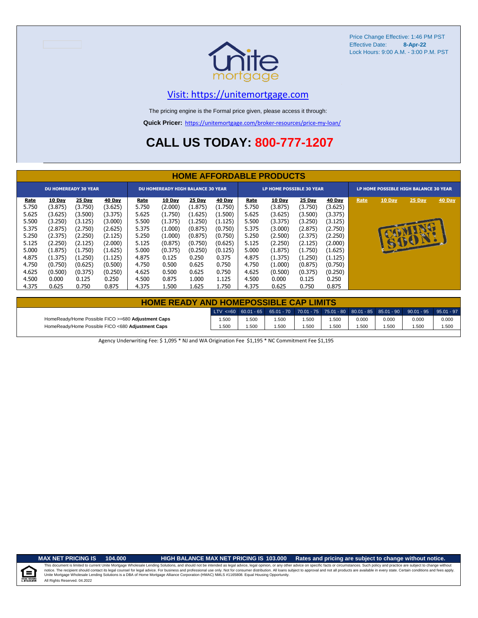

### [V](https://unitemortgage.com/)isit: https://unitemortgage.com

The pricing engine is the Formal price given, please access it through:

**Quick Pricer:** [https://un](https://unitemortgage.com/broker-resources/price-my-loan/)itemortgage.com/broker-resources/price-my-loan/

## **CALL US TODAY: 800-777-1207**

|             | <b>HOME AFFORDABLE PRODUCTS</b> |               |         |       |               |                                          |               |       |                                 |               |               |      |                                       |        |        |
|-------------|---------------------------------|---------------|---------|-------|---------------|------------------------------------------|---------------|-------|---------------------------------|---------------|---------------|------|---------------------------------------|--------|--------|
|             | <b>DU HOMEREADY 30 YEAR</b>     |               |         |       |               | <b>DU HOMEREADY HIGH BALANCE 30 YEAR</b> |               |       | <b>LP HOME POSSIBLE 30 YEAR</b> |               |               |      | LP HOME POSSIBLE HIGH BALANCE 30 YEAR |        |        |
| <u>Rate</u> | <b>10 Day</b>                   | <b>25 Day</b> | 40 Day  | Rate  | <b>10 Day</b> | <b>25 Day</b>                            | <b>40 Day</b> | Rate  | 10 Day                          | <b>25 Day</b> | <b>40 Day</b> | Rate | 10 Day                                | 25 Day | 40 Day |
| 5.750       | (3.875)                         | (3.750)       | (3.625) | 5.750 | (2.000)       | (1.875)                                  | (1.750)       | 5.750 | (3.875)                         | (3.750)       | (3.625)       |      |                                       |        |        |
| 5.625       | (3.625)                         | (3.500)       | (3.375) | 5.625 | (1.750)       | (1.625)                                  | (1.500)       | 5.625 | (3.625)                         | (3.500)       | (3.375)       |      |                                       |        |        |
| 5.500       | (3.250)                         | (3.125)       | (3.000) | 5.500 | (1.375)       | (1.250)                                  | (1.125)       | 5.500 | (3.375)                         | (3.250)       | (3.125)       |      |                                       |        |        |
| 5.375       | (2.875)                         | (2.750)       | (2.625) | 5.375 | (1.000)       | (0.875)                                  | (0.750)       | 5.375 | (3.000)                         | (2.875)       | (2.750)       |      |                                       |        |        |
| 5.250       | (2.375)                         | (2.250)       | (2.125) | 5.250 | (1.000)       | (0.875)                                  | (0.750)       | 5.250 | (2.500)                         | (2.375)       | (2.250)       |      |                                       |        |        |
| 5.125       | (2.250)                         | (2.125)       | (2.000) | 5.125 | (0.875)       | (0.750)                                  | (0.625)       | 5.125 | (2.250)                         | (2.125)       | (2.000)       |      |                                       | 6001.  |        |
| 5.000       | (1.875)                         | (1.750)       | (1.625) | 5.000 | (0.375)       | (0.250)                                  | (0.125)       | 5.000 | (1.875)                         | (1.750)       | (1.625)       |      |                                       |        |        |
| 4.875       | (1.375)                         | (1.250)       | (1.125) | 4.875 | 0.125         | 0.250                                    | 0.375         | 4.875 | (1.375)                         | (1.250)       | (1.125)       |      |                                       |        |        |
| 4.750       | (0.750)                         | (0.625)       | (0.500) | 4.750 | 0.500         | 0.625                                    | 0.750         | 4.750 | (1.000)                         | (0.875)       | (0.750)       |      |                                       |        |        |
| 4.625       | (0.500)                         | (0.375)       | (0.250) | 4.625 | 0.500         | 0.625                                    | 0.750         | 4.625 | (0.500)                         | (0.375)       | (0.250)       |      |                                       |        |        |
| 4.500       | 0.000                           | 0.125         | 0.250   | 4.500 | 0.875         | 1.000                                    | 1.125         | 4.500 | 0.000                           | 0.125         | 0.250         |      |                                       |        |        |
| 4.375       | 0.625                           | 0.750         | 0.875   | 4.375 | 1.500         | 1.625                                    | 1.750         | 4.375 | 0.625                           | 0.750         | 0.875         |      |                                       |        |        |

| <b>HOME READY AND HOMEPOSSIBLE CAP LIMITS</b>      |       |      |       |       |      |       |       |                                                                                                     |       |
|----------------------------------------------------|-------|------|-------|-------|------|-------|-------|-----------------------------------------------------------------------------------------------------|-------|
|                                                    |       |      |       |       |      |       |       | ULTV <=60 60.01 - 65 65.01 - 70 70.01 - 75 75.01 - 80 80.01 - 85 85.01 - 90 90.01 - 95 95.01 - 97 . |       |
| HomeReady/Home Possible FICO >=680 Adjustment Caps | 1.500 | .500 | 1.500 | 1.500 | .500 | 0.000 | 0.000 | 0.000                                                                                               | 0.000 |
| HomeReady/Home Possible FICO <680 Adjustment Caps  | 1.500 | .500 | 1.500 | 1.500 | .500 | .500  | 1.500 | .500                                                                                                | 1.500 |

Agency Underwriting Fee: \$ 1,095 \* NJ and WA Origination Fee \$1,195 \* NC Commitment Fee \$1,195

 $\equiv$ 

**MAX NET PRICING IS 104.000 HIGH BALANCE MAX NET PRICING IS 103.000 Rates and pricing are subject to change without notice.**

All Rights Reserved. 04.2022 This document is limited to current Unite Mortgage Wholesale Lending Solutions, and should not be intended as legal advice, legal opinion, or any other advice on specific facts or circumstances. Such policy and practice ar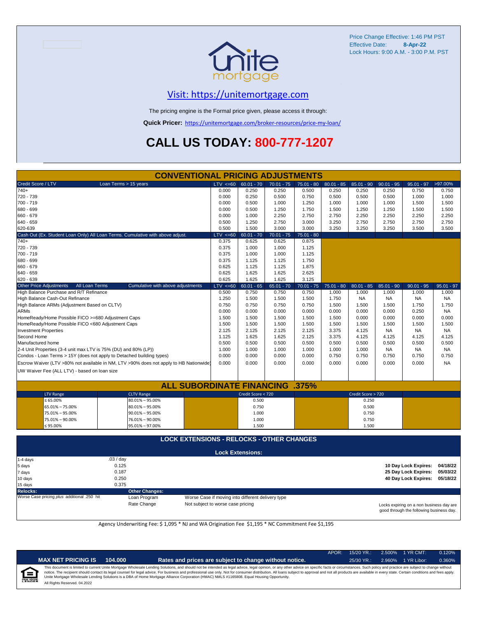

### [V](https://unitemortgage.com/)isit: https://unitemortgage.com

The pricing engine is the Formal price given, please access it through:

**Quick Pricer:** [https://un](https://unitemortgage.com/broker-resources/price-my-loan/)itemortgage.com/broker-resources/price-my-loan/

## **CALL US TODAY: 800-777-1207**

|                                                    | <b>CONVENTIONAL PRICING ADJUSTMENTS</b>                                                |             |                         |              |              |              |                    |              |                      |              |
|----------------------------------------------------|----------------------------------------------------------------------------------------|-------------|-------------------------|--------------|--------------|--------------|--------------------|--------------|----------------------|--------------|
| Credit Score / LTV                                 | Loan Terms > 15 years                                                                  | LTV < 60    | $60.01 - 70$            | $70.01 - 75$ | $75.01 - 80$ | $80.01 - 85$ | $85.01 - 90$       | $90.01 - 95$ | $95.01 - 97$         | >97.00%      |
| $740+$                                             |                                                                                        | 0.000       | 0.250                   | 0.250        | 0.500        | 0.250        | 0.250              | 0.250        | 0.750                | 0.750        |
| 720 - 739                                          |                                                                                        | 0.000       | 0.250                   | 0.500        | 0.750        | 0.500        | 0.500              | 0.500        | 1.000                | 1.000        |
| 700 - 719                                          |                                                                                        | 0.000       | 0.500                   | 1.000        | 1.250        | 1.000        | 1.000              | 1.000        | 1.500                | 1.500        |
| 680 - 699                                          |                                                                                        | 0.000       | 0.500                   | 1.250        | 1.750        | 1.500        | 1.250              | 1.250        | 1.500                | 1.500        |
| 660 - 679                                          |                                                                                        | 0.000       | 1.000                   | 2.250        | 2.750        | 2.750        | 2.250              | 2.250        | 2.250                | 2.250        |
| 640 - 659                                          |                                                                                        | 0.500       | 1.250                   | 2.750        | 3.000        | 3.250        | 2.750              | 2.750        | 2.750                | 2.750        |
| 620-639                                            |                                                                                        | 0.500       | 1.500                   | 3.000        | 3.000        | 3.250        | 3.250              | 3.250        | 3.500                | 3.500        |
|                                                    | Cash Out (Ex. Student Loan Only) All Loan Terms. Cumulative with above adjust.         | LTV < 60    | $60.01 - 70$            | $70.01 - 75$ | $75.01 - 80$ |              |                    |              |                      |              |
| $740+$                                             |                                                                                        | 0.375       | 0.625                   | 0.625        | 0.875        |              |                    |              |                      |              |
| 720 - 739                                          |                                                                                        | 0.375       | 1.000                   | 1.000        | 1.125        |              |                    |              |                      |              |
| 700 - 719                                          |                                                                                        | 0.375       | 1.000                   | 1.000        | 1.125        |              |                    |              |                      |              |
| 680 - 699                                          |                                                                                        | 0.375       | 1.125                   | 1.125        | 1.750        |              |                    |              |                      |              |
| 660 - 679                                          |                                                                                        | 0.625       | 1.125                   | 1.125        | 1.875        |              |                    |              |                      |              |
| 640 - 659                                          |                                                                                        | 0.625       | 1.625                   | 1.625        | 2.625        |              |                    |              |                      |              |
| 620 - 639                                          |                                                                                        | 0.625       | 1.625                   | 1.625        | 3.125        |              |                    |              |                      |              |
| <b>Other Price Adjustments</b>                     | All Loan Terms<br>Cumulative with above adjustments                                    | $LTV < =60$ | $60.01 - 65$            | $65.01 - 70$ | $70.01 - 75$ | $75.01 - 80$ | $80.01 - 85$       | $85.01 - 90$ | $90.01 - 95$         | $95.01 - 97$ |
| High Balance Purchase and R/T Refinance            |                                                                                        | 0.500       | 0.750                   | 0.750        | 0.750        | 1.000        | 1.000              | 1.000        | 1.000                | 1.000        |
| High Balance Cash-Out Refinance                    |                                                                                        | 1.250       | 1.500                   | 1.500        | 1.500        | 1.750        | <b>NA</b>          | <b>NA</b>    | NA                   | <b>NA</b>    |
| High Balance ARMs (Adjustment Based on CLTV)       |                                                                                        | 0.750       | 0.750                   | 0.750        | 0.750        | 1.500        | 1.500              | 1.500        | 1.750                | 1.750        |
| <b>ARMs</b>                                        |                                                                                        | 0.000       | 0.000                   | 0.000        | 0.000        | 0.000        | 0.000              | 0.000        | 0.250                | <b>NA</b>    |
| HomeReady/Home Possible FICO >=680 Adjustment Caps |                                                                                        | 1.500       | 1.500                   | 1.500        | 1.500        | 1.500        | 0.000              | 0.000        | 0.000                | 0.000        |
| HomeReady/Home Possible FICO <680 Adjustment Caps  |                                                                                        | 1.500       | 1.500                   | 1.500        | 1.500        | 1.500        | 1.500              | 1.500        | 1.500                | 1.500        |
| <b>Investment Properties</b>                       |                                                                                        | 2.125       | 2.125                   | 2.125        | 2.125        | 3.375        | 4.125              | <b>NA</b>    | <b>NA</b>            | NA.          |
| Second Home                                        |                                                                                        | 1.125       | 1.625                   | 1.625        | 2.125        | 3.375        | 4.125              | 4.125        | 4.125                | 4.125        |
| Manufactured home                                  |                                                                                        | 0.500       | 0.500                   | 0.500        | 0.500        | 0.500        | 0.500              | 0.500        | 0.500                | 0.500        |
|                                                    | 2-4 Unit Properties (3-4 unit max LTV is 75% (DU) and 80% (LP))                        | 1.000       | 1.000                   | 1.000        | 1.000        | 1.000        | 1.000              | NA.          | <b>NA</b>            | NA           |
|                                                    | Condos - Loan Terms > 15Y (does not apply to Detached building types)                  | 0.000       | 0.000                   | 0.000        | 0.000        | 0.750        | 0.750              | 0.750        | 0.750                | 0.750        |
|                                                    | Escrow Waiver (LTV >80% not available in NM, LTV >90% does not apply to HB Nationwide) | 0.000       | 0.000                   | 0.000        | 0.000        | 0.000        | 0.000              | 0.000        | 0.000                | <b>NA</b>    |
|                                                    |                                                                                        |             |                         |              |              |              |                    |              |                      |              |
| UW Waiver Fee (ALL LTV) - based on loan size       |                                                                                        |             |                         |              |              |              |                    |              |                      |              |
|                                                    | <b>ALL SUBORDINATE FINANCING</b>                                                       |             |                         |              | .375%        |              |                    |              |                      |              |
|                                                    |                                                                                        |             |                         |              |              |              |                    |              |                      |              |
| <b>LTV Range</b>                                   | <b>CLTV Range</b>                                                                      |             | Credit Score < 720      |              |              |              | Credit Score > 720 |              |                      |              |
| $\leq 65.00\%$                                     | $80.01\% - 95.00\%$                                                                    |             | 0.500                   |              |              |              | 0.250              |              |                      |              |
| 65.01% - 75.00%                                    | $80.01\% - 95.00\%$                                                                    |             | 0.750                   |              |              |              | 0.500              |              |                      |              |
| 75.01% - 95.00%                                    | $90.01\% - 95.00\%$                                                                    |             | 1.000                   |              |              |              | 0.750              |              |                      |              |
| 75.01% - 90.00%                                    | 76.01% - 90.00%                                                                        |             | 1.000                   |              |              |              | 0.750              |              |                      |              |
| $\leq 95.00\%$                                     | 95.01% - 97.00%                                                                        |             | 1.500                   |              |              |              | 1.500              |              |                      |              |
|                                                    | <b>LOCK EXTENSIONS - RELOCKS - OTHER CHANGES</b>                                       |             |                         |              |              |              |                    |              |                      |              |
|                                                    |                                                                                        |             | <b>Lock Extensions:</b> |              |              |              |                    |              |                      |              |
| 1-4 days                                           | .03 / day                                                                              |             |                         |              |              |              |                    |              |                      |              |
| 5 days                                             | 0.125                                                                                  |             |                         |              |              |              |                    |              | 10 Day Lock Expires: | 04/18/22     |
| 7 days                                             | 0.187                                                                                  |             |                         |              |              |              |                    |              | 25 Day Lock Expires: | 05/03/22     |
| 10 days                                            | 0.250                                                                                  |             |                         |              |              |              |                    |              | 40 Day Lock Expires: | 05/18/22     |
| 15 days                                            | 0.375                                                                                  |             |                         |              |              |              |                    |              |                      |              |

**Relocks: Other Changes:**

Loan Program *plus* Worse Case if moving into different delivery type

Rate Change Not subject to worse case pricing

Locks expiring on a non business day are good through the following business day.

Agency Underwriting Fee: \$ 1,095 \* NJ and WA Origination Fee \$1,195 \* NC Commitment Fee \$1,195

| i | IDE |  |
|---|-----|--|
|   |     |  |

| NET PRICING IS' | 104.000 |
|-----------------|---------|
|-----------------|---------|

**MAX NET PRICING IS 104.000 Rates and prices are subject to change without notice.** 25/30 YR.: 2.960% 1 YR Libor: 0.360%

APOR: 15/20 YR.: 2.500% 1 YR CMT: 0.120%

All Rights Reserved. 04.2022 This document is limited to current Unite Mortgage Wholesale Lending Solutions, and should not be intended as legal advice, legal opinion, or any other advice on specific facts or circumstances. Such policy and practice ar